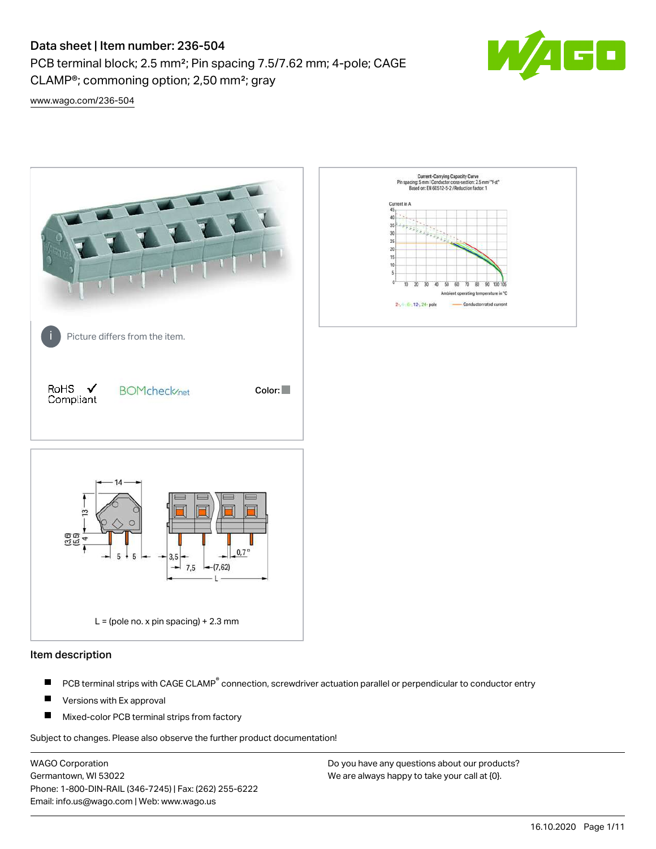PCB terminal block; 2.5 mm²; Pin spacing 7.5/7.62 mm; 4-pole; CAGE CLAMP®; commoning option; 2,50 mm²; gray



[www.wago.com/236-504](http://www.wago.com/236-504)



#### Item description

- PCB terminal strips with CAGE CLAMP<sup>®</sup> connection, screwdriver actuation parallel or perpendicular to conductor entry П
- П Versions with Ex approval
- П Mixed-color PCB terminal strips from factory

Subject to changes. Please also observe the further product documentation!

WAGO Corporation Germantown, WI 53022 Phone: 1-800-DIN-RAIL (346-7245) | Fax: (262) 255-6222 Email: info.us@wago.com | Web: www.wago.us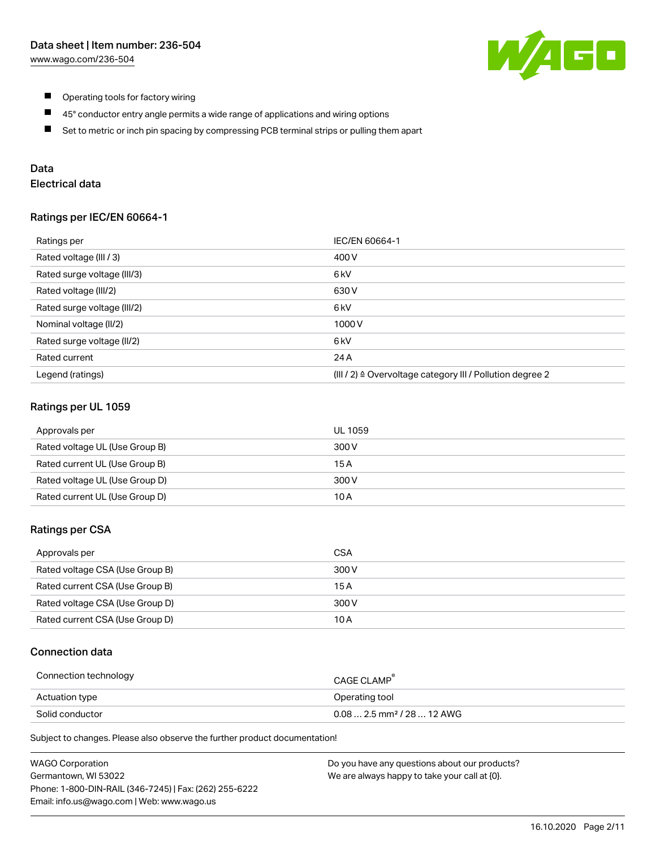

- $\blacksquare$ Operating tools for factory wiring
- $\blacksquare$ 45° conductor entry angle permits a wide range of applications and wiring options
- $\blacksquare$ Set to metric or inch pin spacing by compressing PCB terminal strips or pulling them apart

## Data

# Electrical data

#### Ratings per IEC/EN 60664-1

| Ratings per                 | IEC/EN 60664-1                                                        |
|-----------------------------|-----------------------------------------------------------------------|
| Rated voltage (III / 3)     | 400 V                                                                 |
| Rated surge voltage (III/3) | 6 <sub>kV</sub>                                                       |
| Rated voltage (III/2)       | 630 V                                                                 |
| Rated surge voltage (III/2) | 6 <sub>k</sub> V                                                      |
| Nominal voltage (II/2)      | 1000V                                                                 |
| Rated surge voltage (II/2)  | 6 kV                                                                  |
| Rated current               | 24 A                                                                  |
| Legend (ratings)            | $(III / 2)$ $\triangle$ Overvoltage category III / Pollution degree 2 |

#### Ratings per UL 1059

| Approvals per                  | UL 1059 |
|--------------------------------|---------|
| Rated voltage UL (Use Group B) | 300 V   |
| Rated current UL (Use Group B) | 15 A    |
| Rated voltage UL (Use Group D) | 300 V   |
| Rated current UL (Use Group D) | 10 A    |

#### Ratings per CSA

| Approvals per                   | CSA   |
|---------------------------------|-------|
| Rated voltage CSA (Use Group B) | 300 V |
| Rated current CSA (Use Group B) | 15 A  |
| Rated voltage CSA (Use Group D) | 300 V |
| Rated current CSA (Use Group D) | 10 A  |

### Connection data

| Connection technology | CAGE CLAMP                              |
|-----------------------|-----------------------------------------|
| Actuation type        | Operating tool                          |
| Solid conductor       | $0.08$ 2.5 mm <sup>2</sup> / 28  12 AWG |

Subject to changes. Please also observe the further product documentation!

| <b>WAGO Corporation</b>                                | Do you have any questions about our products? |
|--------------------------------------------------------|-----------------------------------------------|
| Germantown, WI 53022                                   | We are always happy to take your call at {0}. |
| Phone: 1-800-DIN-RAIL (346-7245)   Fax: (262) 255-6222 |                                               |
| Email: info.us@wago.com   Web: www.wago.us             |                                               |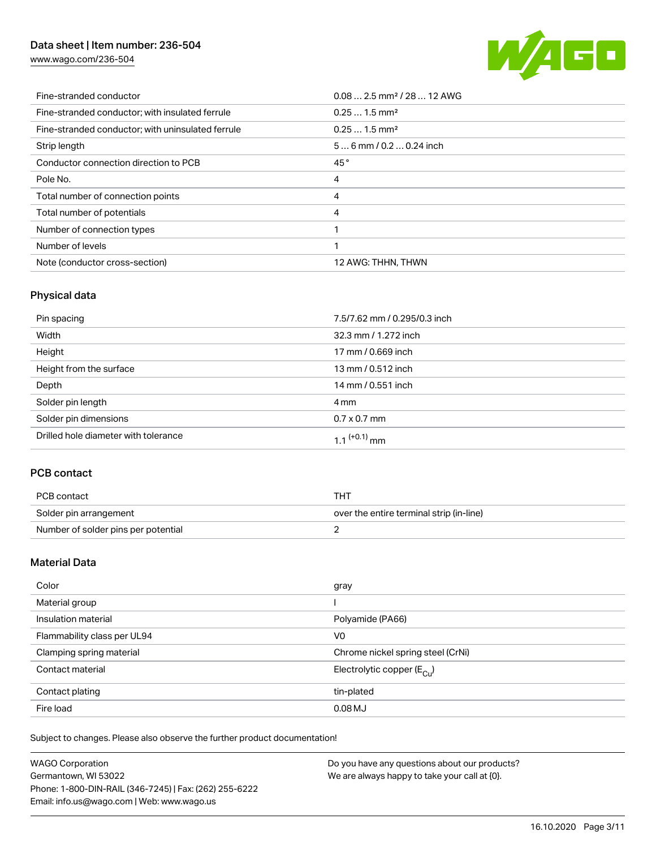[www.wago.com/236-504](http://www.wago.com/236-504)



| Fine-stranded conductor                           | $0.08$ 2.5 mm <sup>2</sup> / 28  12 AWG |
|---------------------------------------------------|-----------------------------------------|
| Fine-stranded conductor; with insulated ferrule   | $0.251.5$ mm <sup>2</sup>               |
| Fine-stranded conductor; with uninsulated ferrule | $0.251.5$ mm <sup>2</sup>               |
| Strip length                                      | $56$ mm / 0.2  0.24 inch                |
| Conductor connection direction to PCB             | 45°                                     |
| Pole No.                                          | 4                                       |
| Total number of connection points                 | 4                                       |
| Total number of potentials                        | 4                                       |
| Number of connection types                        |                                         |
| Number of levels                                  |                                         |
| Note (conductor cross-section)                    | 12 AWG: THHN, THWN                      |

# Physical data

| Pin spacing                          | 7.5/7.62 mm / 0.295/0.3 inch |
|--------------------------------------|------------------------------|
| Width                                | 32.3 mm / 1.272 inch         |
| Height                               | 17 mm / 0.669 inch           |
| Height from the surface              | 13 mm / 0.512 inch           |
| Depth                                | 14 mm / 0.551 inch           |
| Solder pin length                    | 4 mm                         |
| Solder pin dimensions                | $0.7 \times 0.7$ mm          |
| Drilled hole diameter with tolerance | $1.1$ <sup>(+0.1)</sup> mm   |

# PCB contact

| PCB contact                         | THT                                      |
|-------------------------------------|------------------------------------------|
| Solder pin arrangement              | over the entire terminal strip (in-line) |
| Number of solder pins per potential |                                          |

### Material Data

| Color                       | gray                                  |
|-----------------------------|---------------------------------------|
| Material group              |                                       |
| Insulation material         | Polyamide (PA66)                      |
| Flammability class per UL94 | V <sub>0</sub>                        |
| Clamping spring material    | Chrome nickel spring steel (CrNi)     |
| Contact material            | Electrolytic copper $(E_{\text{CL}})$ |
| Contact plating             | tin-plated                            |
| Fire load                   | $0.08$ MJ                             |

Subject to changes. Please also observe the further product documentation!

| <b>WAGO Corporation</b>                                | Do you have any questions about our products? |
|--------------------------------------------------------|-----------------------------------------------|
| Germantown, WI 53022                                   | We are always happy to take your call at {0}. |
| Phone: 1-800-DIN-RAIL (346-7245)   Fax: (262) 255-6222 |                                               |
| Email: info.us@wago.com   Web: www.wago.us             |                                               |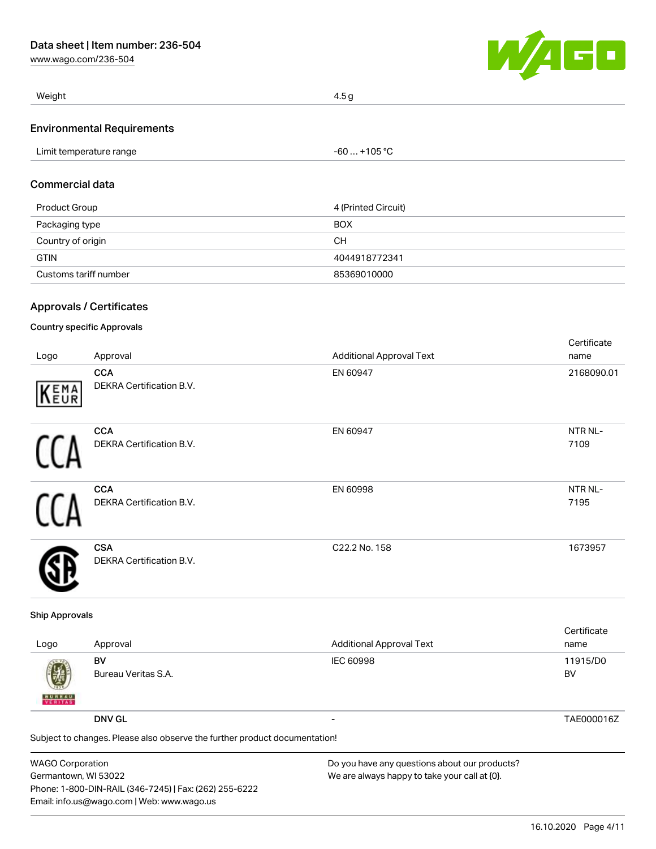[www.wago.com/236-504](http://www.wago.com/236-504)



| Weight                            | 4.5 g        |
|-----------------------------------|--------------|
| <b>Environmental Requirements</b> |              |
| Limit temperature range           | -60  +105 °C |

#### Commercial data

| Product Group         | 4 (Printed Circuit) |
|-----------------------|---------------------|
| Packaging type        | <b>BOX</b>          |
| Country of origin     | CН                  |
| <b>GTIN</b>           | 4044918772341       |
| Customs tariff number | 85369010000         |

# Approvals / Certificates

#### Country specific Approvals

| Logo | Approval                                      | <b>Additional Approval Text</b> | Certificate<br>name |
|------|-----------------------------------------------|---------------------------------|---------------------|
| KEMA | <b>CCA</b><br>DEKRA Certification B.V.        | EN 60947                        | 2168090.01          |
|      | <b>CCA</b><br>DEKRA Certification B.V.        | EN 60947                        | NTR NL-<br>7109     |
|      | <b>CCA</b><br>DEKRA Certification B.V.        | EN 60998                        | NTR NL-<br>7195     |
|      | <b>CSA</b><br><b>DEKRA Certification B.V.</b> | C22.2 No. 158                   | 1673957             |

#### Ship Approvals

| Logo               | Approval                                                                   | <b>Additional Approval Text</b> | Certificate<br>name |
|--------------------|----------------------------------------------------------------------------|---------------------------------|---------------------|
| 遡<br><b>BUREAU</b> | BV<br>Bureau Veritas S.A.                                                  | IEC 60998                       | 11915/D0<br>BV      |
|                    | <b>DNV GL</b>                                                              | $\overline{\phantom{0}}$        | TAE000016Z          |
|                    | Subject to changes. Please also observe the further product documentation! |                                 |                     |

| <b>WAGO Corporation</b>                                | Do you have any questions about our products? |
|--------------------------------------------------------|-----------------------------------------------|
| Germantown, WI 53022                                   | We are always happy to take your call at {0}. |
| Phone: 1-800-DIN-RAIL (346-7245)   Fax: (262) 255-6222 |                                               |
| Email: info.us@wago.com   Web: www.wago.us             |                                               |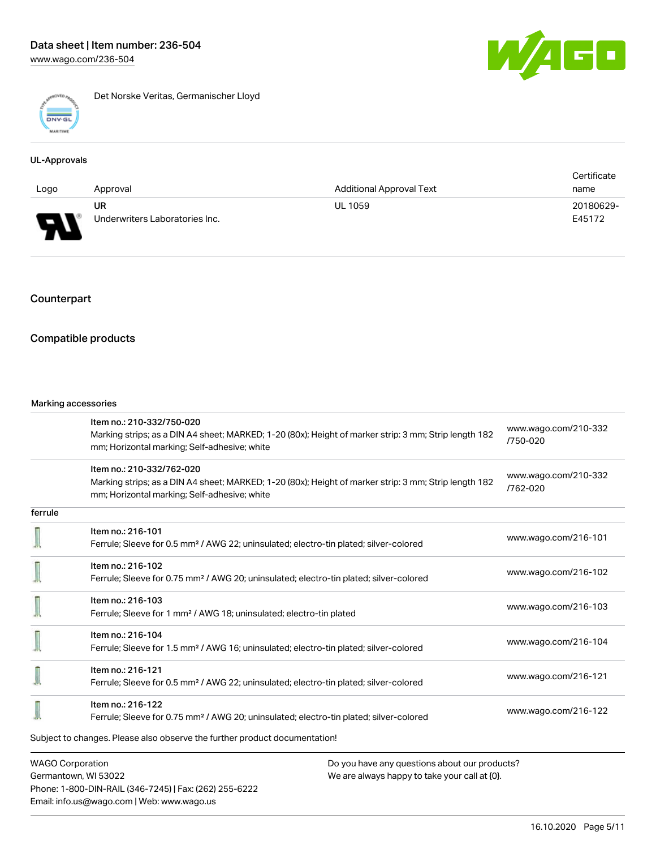

Det Norske Veritas, Germanischer Lloyd

# UL-Approvals

|                                                           |                                |                          | Certificate |
|-----------------------------------------------------------|--------------------------------|--------------------------|-------------|
| Logo                                                      | Approval                       | Additional Approval Text | name        |
|                                                           | UR                             | <b>UL 1059</b>           | 20180629-   |
| o<br>$\overline{\phantom{a}}$<br>$\overline{\phantom{a}}$ | Underwriters Laboratories Inc. |                          | E45172      |

# Counterpart

#### Compatible products

#### Marking accessories

Phone: 1-800-DIN-RAIL (346-7245) | Fax: (262) 255-6222

Email: info.us@wago.com | Web: www.wago.us

|                         | Item no.: 210-332/750-020<br>Marking strips; as a DIN A4 sheet; MARKED; 1-20 (80x); Height of marker strip: 3 mm; Strip length 182                    |                                               | www.wago.com/210-332 |  |
|-------------------------|-------------------------------------------------------------------------------------------------------------------------------------------------------|-----------------------------------------------|----------------------|--|
|                         | mm; Horizontal marking; Self-adhesive; white                                                                                                          |                                               | /750-020             |  |
|                         | Item no.: 210-332/762-020                                                                                                                             |                                               | www.wago.com/210-332 |  |
|                         | Marking strips; as a DIN A4 sheet; MARKED; 1-20 (80x); Height of marker strip: 3 mm; Strip length 182<br>mm; Horizontal marking; Self-adhesive; white |                                               | /762-020             |  |
| ferrule                 |                                                                                                                                                       |                                               |                      |  |
|                         | Item no.: 216-101                                                                                                                                     |                                               | www.wago.com/216-101 |  |
|                         | Ferrule; Sleeve for 0.5 mm <sup>2</sup> / AWG 22; uninsulated; electro-tin plated; silver-colored                                                     |                                               |                      |  |
|                         | Item no.: 216-102                                                                                                                                     |                                               | www.wago.com/216-102 |  |
|                         | Ferrule; Sleeve for 0.75 mm <sup>2</sup> / AWG 20; uninsulated; electro-tin plated; silver-colored                                                    |                                               |                      |  |
|                         | Item no.: 216-103                                                                                                                                     |                                               | www.wago.com/216-103 |  |
|                         | Ferrule; Sleeve for 1 mm <sup>2</sup> / AWG 18; uninsulated; electro-tin plated                                                                       |                                               |                      |  |
|                         | Item no.: 216-104                                                                                                                                     |                                               | www.wago.com/216-104 |  |
|                         | Ferrule; Sleeve for 1.5 mm <sup>2</sup> / AWG 16; uninsulated; electro-tin plated; silver-colored                                                     |                                               |                      |  |
|                         | Item no.: 216-121                                                                                                                                     |                                               |                      |  |
|                         | Ferrule; Sleeve for 0.5 mm <sup>2</sup> / AWG 22; uninsulated; electro-tin plated; silver-colored                                                     |                                               | www.wago.com/216-121 |  |
|                         | Item no.: 216-122                                                                                                                                     |                                               |                      |  |
|                         | Ferrule; Sleeve for 0.75 mm <sup>2</sup> / AWG 20; uninsulated; electro-tin plated; silver-colored                                                    |                                               | www.wago.com/216-122 |  |
|                         | Subject to changes. Please also observe the further product documentation!                                                                            |                                               |                      |  |
| <b>WAGO Corporation</b> |                                                                                                                                                       | Do you have any questions about our products? |                      |  |
| Germantown, WI 53022    |                                                                                                                                                       | We are always happy to take your call at {0}. |                      |  |

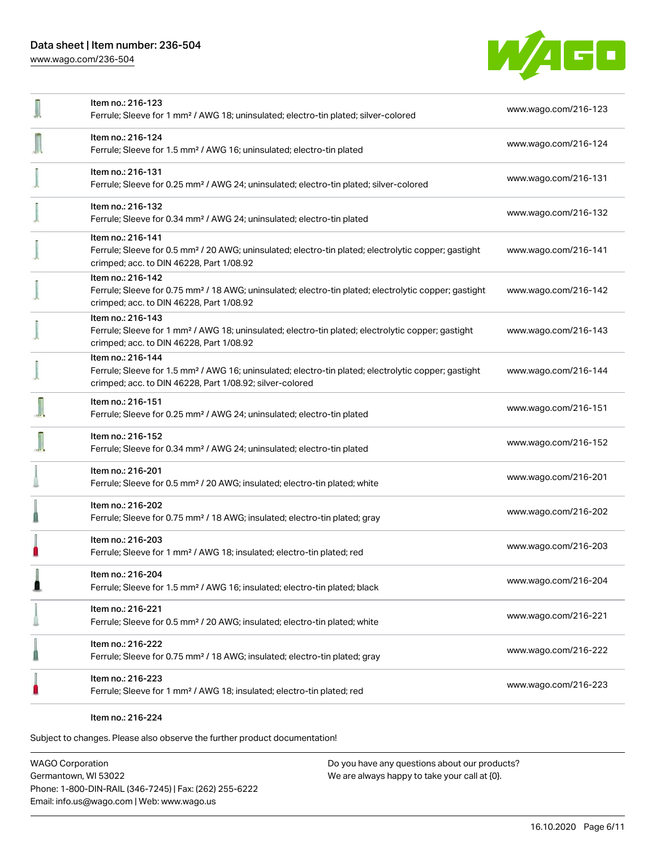[www.wago.com/236-504](http://www.wago.com/236-504)



| Item no.: 216-123<br>Ferrule; Sleeve for 1 mm <sup>2</sup> / AWG 18; uninsulated; electro-tin plated; silver-colored                                                                              | www.wago.com/216-123 |
|---------------------------------------------------------------------------------------------------------------------------------------------------------------------------------------------------|----------------------|
| Item no.: 216-124<br>Ferrule; Sleeve for 1.5 mm <sup>2</sup> / AWG 16; uninsulated; electro-tin plated                                                                                            | www.wago.com/216-124 |
| Item no.: 216-131<br>Ferrule; Sleeve for 0.25 mm <sup>2</sup> / AWG 24; uninsulated; electro-tin plated; silver-colored                                                                           | www.wago.com/216-131 |
| Item no.: 216-132<br>Ferrule; Sleeve for 0.34 mm <sup>2</sup> / AWG 24; uninsulated; electro-tin plated                                                                                           | www.wago.com/216-132 |
| Item no.: 216-141<br>Ferrule; Sleeve for 0.5 mm <sup>2</sup> / 20 AWG; uninsulated; electro-tin plated; electrolytic copper; gastight<br>crimped; acc. to DIN 46228, Part 1/08.92                 | www.wago.com/216-141 |
| Item no.: 216-142<br>Ferrule; Sleeve for 0.75 mm <sup>2</sup> / 18 AWG; uninsulated; electro-tin plated; electrolytic copper; gastight<br>crimped; acc. to DIN 46228, Part 1/08.92                | www.wago.com/216-142 |
| Item no.: 216-143<br>Ferrule; Sleeve for 1 mm <sup>2</sup> / AWG 18; uninsulated; electro-tin plated; electrolytic copper; gastight<br>crimped; acc. to DIN 46228, Part 1/08.92                   | www.wago.com/216-143 |
| Item no.: 216-144<br>Ferrule; Sleeve for 1.5 mm <sup>2</sup> / AWG 16; uninsulated; electro-tin plated; electrolytic copper; gastight<br>crimped; acc. to DIN 46228, Part 1/08.92; silver-colored | www.wago.com/216-144 |
| Item no.: 216-151<br>Ferrule; Sleeve for 0.25 mm <sup>2</sup> / AWG 24; uninsulated; electro-tin plated                                                                                           | www.wago.com/216-151 |
| Item no.: 216-152<br>Ferrule; Sleeve for 0.34 mm <sup>2</sup> / AWG 24; uninsulated; electro-tin plated                                                                                           | www.wago.com/216-152 |
| Item no.: 216-201<br>Ferrule; Sleeve for 0.5 mm <sup>2</sup> / 20 AWG; insulated; electro-tin plated; white                                                                                       | www.wago.com/216-201 |
| Item no.: 216-202<br>Ferrule; Sleeve for 0.75 mm <sup>2</sup> / 18 AWG; insulated; electro-tin plated; gray                                                                                       | www.wago.com/216-202 |
| Item no.: 216-203<br>Ferrule; Sleeve for 1 mm <sup>2</sup> / AWG 18; insulated; electro-tin plated; red                                                                                           | www.wago.com/216-203 |
| Item no.: 216-204<br>Ferrule; Sleeve for 1.5 mm <sup>2</sup> / AWG 16; insulated; electro-tin plated; black                                                                                       | www.wago.com/216-204 |
| Item no.: 216-221<br>Ferrule; Sleeve for 0.5 mm <sup>2</sup> / 20 AWG; insulated; electro-tin plated; white                                                                                       | www.wago.com/216-221 |
| Item no.: 216-222<br>Ferrule; Sleeve for 0.75 mm <sup>2</sup> / 18 AWG; insulated; electro-tin plated; gray                                                                                       | www.wago.com/216-222 |
| Item no.: 216-223<br>Ferrule; Sleeve for 1 mm <sup>2</sup> / AWG 18; insulated; electro-tin plated; red                                                                                           | www.wago.com/216-223 |
|                                                                                                                                                                                                   |                      |

Item no.: 216-224

Subject to changes. Please also observe the further product documentation!

WAGO Corporation Germantown, WI 53022 Phone: 1-800-DIN-RAIL (346-7245) | Fax: (262) 255-6222 Email: info.us@wago.com | Web: www.wago.us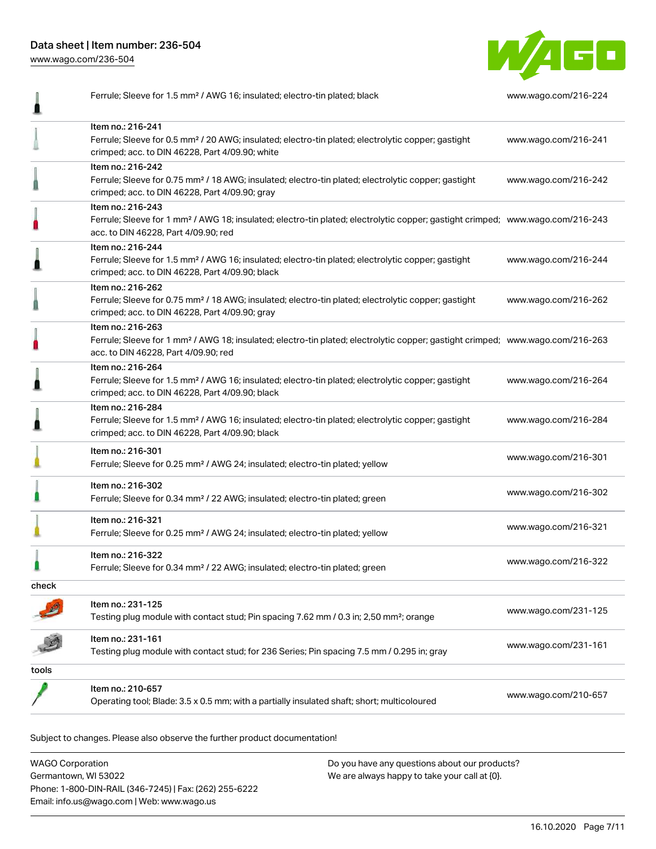[www.wago.com/236-504](http://www.wago.com/236-504)

I



Ferrule; Sleeve for 1.5 mm² / AWG 16; insulated; electro-tin plated; black [www.wago.com/216-224](http://www.wago.com/216-224)

|       | Item no.: 216-241<br>Ferrule; Sleeve for 0.5 mm <sup>2</sup> / 20 AWG; insulated; electro-tin plated; electrolytic copper; gastight<br>crimped; acc. to DIN 46228, Part 4/09.90; white                  | www.wago.com/216-241 |
|-------|---------------------------------------------------------------------------------------------------------------------------------------------------------------------------------------------------------|----------------------|
|       | Item no.: 216-242<br>Ferrule; Sleeve for 0.75 mm <sup>2</sup> / 18 AWG; insulated; electro-tin plated; electrolytic copper; gastight<br>crimped; acc. to DIN 46228, Part 4/09.90; gray                  | www.wago.com/216-242 |
|       | Item no.: 216-243<br>Ferrule; Sleeve for 1 mm <sup>2</sup> / AWG 18; insulated; electro-tin plated; electrolytic copper; gastight crimped; www.wago.com/216-243<br>acc. to DIN 46228, Part 4/09.90; red |                      |
|       | Item no.: 216-244<br>Ferrule; Sleeve for 1.5 mm <sup>2</sup> / AWG 16; insulated; electro-tin plated; electrolytic copper; gastight<br>crimped; acc. to DIN 46228, Part 4/09.90; black                  | www.wago.com/216-244 |
|       | Item no.: 216-262<br>Ferrule; Sleeve for 0.75 mm <sup>2</sup> / 18 AWG; insulated; electro-tin plated; electrolytic copper; gastight<br>crimped; acc. to DIN 46228, Part 4/09.90; gray                  | www.wago.com/216-262 |
|       | Item no.: 216-263<br>Ferrule; Sleeve for 1 mm <sup>2</sup> / AWG 18; insulated; electro-tin plated; electrolytic copper; gastight crimped; www.wago.com/216-263<br>acc. to DIN 46228, Part 4/09.90; red |                      |
|       | Item no.: 216-264<br>Ferrule; Sleeve for 1.5 mm <sup>2</sup> / AWG 16; insulated; electro-tin plated; electrolytic copper; gastight<br>crimped; acc. to DIN 46228, Part 4/09.90; black                  | www.wago.com/216-264 |
|       | Item no.: 216-284<br>Ferrule; Sleeve for 1.5 mm <sup>2</sup> / AWG 16; insulated; electro-tin plated; electrolytic copper; gastight<br>crimped; acc. to DIN 46228, Part 4/09.90; black                  | www.wago.com/216-284 |
|       | Item no.: 216-301<br>Ferrule; Sleeve for 0.25 mm <sup>2</sup> / AWG 24; insulated; electro-tin plated; yellow                                                                                           | www.wago.com/216-301 |
|       | Item no.: 216-302<br>Ferrule; Sleeve for 0.34 mm <sup>2</sup> / 22 AWG; insulated; electro-tin plated; green                                                                                            | www.wago.com/216-302 |
|       | Item no.: 216-321<br>Ferrule; Sleeve for 0.25 mm <sup>2</sup> / AWG 24; insulated; electro-tin plated; yellow                                                                                           | www.wago.com/216-321 |
|       | Item no.: 216-322<br>Ferrule; Sleeve for 0.34 mm <sup>2</sup> / 22 AWG; insulated; electro-tin plated; green                                                                                            | www.wago.com/216-322 |
| check |                                                                                                                                                                                                         |                      |
|       | Item no.: 231-125<br>Testing plug module with contact stud; Pin spacing 7.62 mm / 0.3 in; 2,50 mm <sup>2</sup> ; orange                                                                                 | www.wago.com/231-125 |
|       | Item no.: 231-161<br>Testing plug module with contact stud; for 236 Series; Pin spacing 7.5 mm / 0.295 in; gray                                                                                         | www.wago.com/231-161 |
| tools |                                                                                                                                                                                                         |                      |
|       | Item no.: 210-657<br>Operating tool; Blade: 3.5 x 0.5 mm; with a partially insulated shaft; short; multicoloured                                                                                        | www.wago.com/210-657 |

Subject to changes. Please also observe the further product documentation!

WAGO Corporation Germantown, WI 53022 Phone: 1-800-DIN-RAIL (346-7245) | Fax: (262) 255-6222 Email: info.us@wago.com | Web: www.wago.us Do you have any questions about our products? We are always happy to take your call at {0}.

16.10.2020 Page 7/11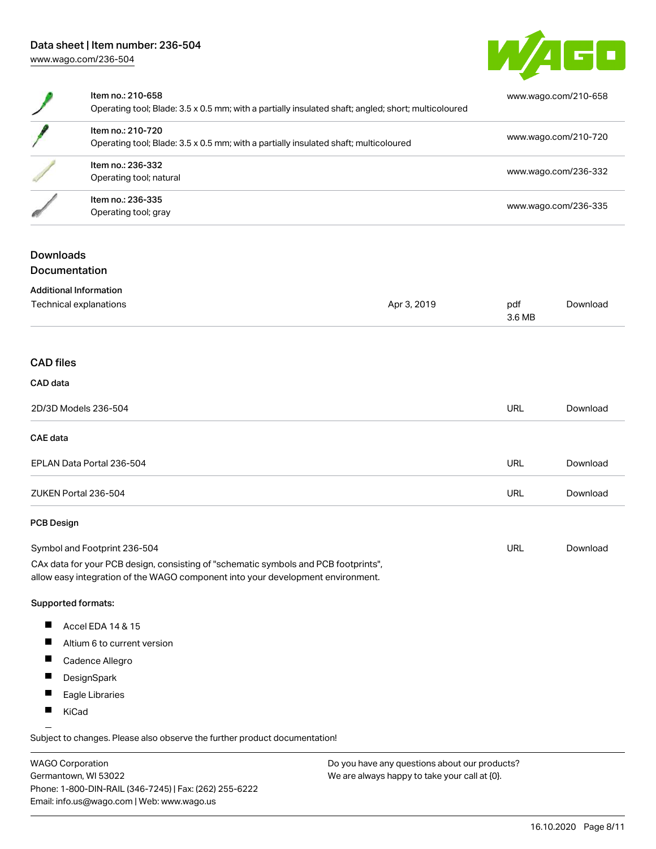

| Item no.: 210-658<br>Operating tool; Blade: 3.5 x 0.5 mm; with a partially insulated shaft; angled; short; multicoloured | www.wago.com/210-658 |
|--------------------------------------------------------------------------------------------------------------------------|----------------------|
| Item no.: 210-720<br>Operating tool; Blade: 3.5 x 0.5 mm; with a partially insulated shaft; multicoloured                | www.wago.com/210-720 |
| Item no.: 236-332<br>Operating tool; natural                                                                             | www.wago.com/236-332 |
| Item no.: 236-335<br>Operating tool; gray                                                                                | www.wago.com/236-335 |

## **Downloads** Documentation

| <b>Additional Information</b>                                                       |             |               |          |
|-------------------------------------------------------------------------------------|-------------|---------------|----------|
| Technical explanations                                                              | Apr 3, 2019 | pdf<br>3.6 MB | Download |
|                                                                                     |             |               |          |
| <b>CAD files</b>                                                                    |             |               |          |
| CAD data                                                                            |             |               |          |
| 2D/3D Models 236-504                                                                |             | <b>URL</b>    | Download |
| CAE data                                                                            |             |               |          |
| EPLAN Data Portal 236-504                                                           |             | <b>URL</b>    | Download |
| ZUKEN Portal 236-504                                                                |             | <b>URL</b>    | Download |
| <b>PCB Design</b>                                                                   |             |               |          |
| Symbol and Footprint 236-504                                                        |             | <b>URL</b>    | Download |
| CAx data for your PCB design, consisting of "schematic symbols and PCB footprints", |             |               |          |

allow easy integration of the WAGO component into your development environment.

#### Supported formats:

- $\blacksquare$ Accel EDA 14 & 15
- $\blacksquare$ Altium 6 to current version
- $\blacksquare$ Cadence Allegro
- $\blacksquare$ **DesignSpark**
- $\blacksquare$ Eagle Libraries
- $\blacksquare$ KiCad

Subject to changes. Please also observe the further product documentation!

WAGO Corporation Germantown, WI 53022 Phone: 1-800-DIN-RAIL (346-7245) | Fax: (262) 255-6222 Email: info.us@wago.com | Web: www.wago.us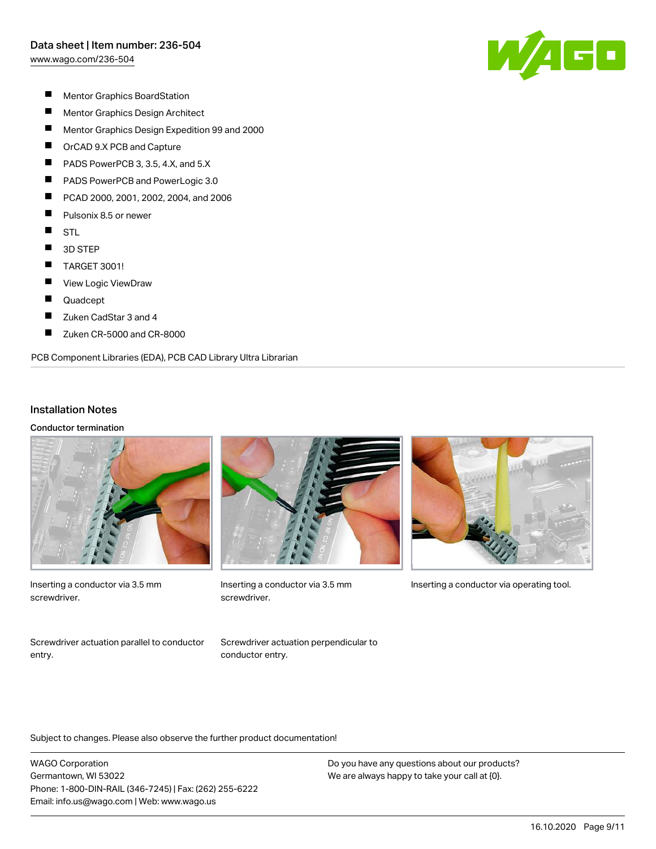[www.wago.com/236-504](http://www.wago.com/236-504)

W/AGO

- $\blacksquare$ Mentor Graphics BoardStation
- $\blacksquare$ Mentor Graphics Design Architect
- $\blacksquare$ Mentor Graphics Design Expedition 99 and 2000
- $\blacksquare$ OrCAD 9.X PCB and Capture
- П PADS PowerPCB 3, 3.5, 4.X, and 5.X
- П PADS PowerPCB and PowerLogic 3.0
- П PCAD 2000, 2001, 2002, 2004, and 2006
- $\blacksquare$ Pulsonix 8.5 or newer
- $\blacksquare$ **STL**
- $\blacksquare$ 3D STEP
- $\blacksquare$ TARGET 3001!
- П View Logic ViewDraw
- $\blacksquare$ Quadcept
- $\blacksquare$ Zuken CadStar 3 and 4
- П Zuken CR-5000 and CR-8000

PCB Component Libraries (EDA), PCB CAD Library Ultra Librarian

#### Installation Notes

Conductor termination



Inserting a conductor via 3.5 mm screwdriver.



screwdriver.



Inserting a conductor via 3.5 mm Inserting a conductor via operating tool.

Screwdriver actuation parallel to conductor entry.

Screwdriver actuation perpendicular to conductor entry.

Subject to changes. Please also observe the further product documentation!

WAGO Corporation Germantown, WI 53022 Phone: 1-800-DIN-RAIL (346-7245) | Fax: (262) 255-6222 Email: info.us@wago.com | Web: www.wago.us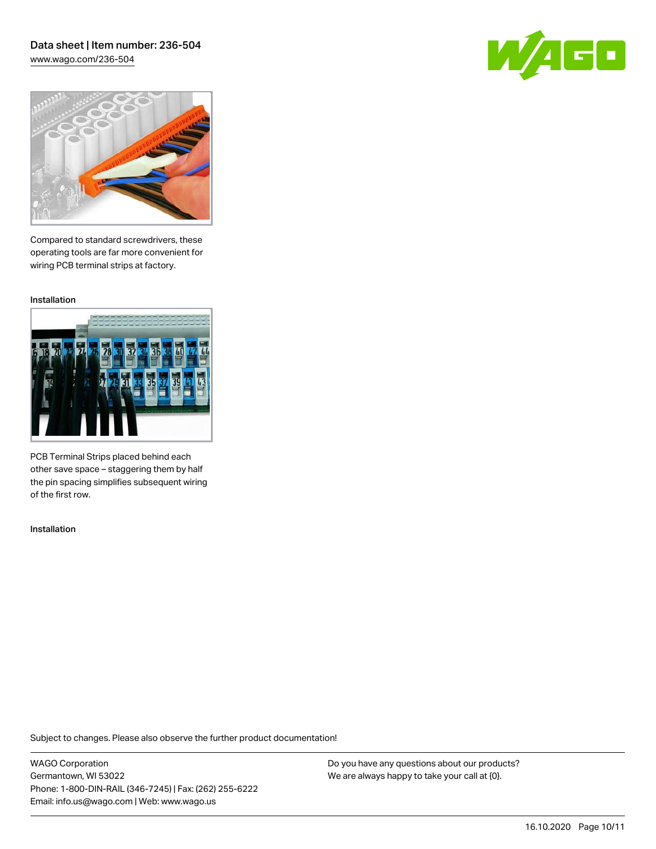### Data sheet | Item number: 236-504 [www.wago.com/236-504](http://www.wago.com/236-504)





Compared to standard screwdrivers, these operating tools are far more convenient for wiring PCB terminal strips at factory.

Installation



PCB Terminal Strips placed behind each other save space – staggering them by half the pin spacing simplifies subsequent wiring of the first row.

Installation

Subject to changes. Please also observe the further product documentation!

WAGO Corporation Germantown, WI 53022 Phone: 1-800-DIN-RAIL (346-7245) | Fax: (262) 255-6222 Email: info.us@wago.com | Web: www.wago.us